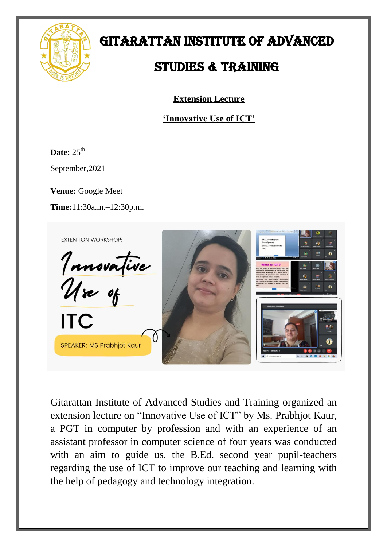

## GITARATTAN INSTITUTE OF ADVANCED

## STUDIES & TRAINING

**Extension Lecture**

**'Innovative Use of ICT'**

**Date:** 25<sup>th</sup>

September,2021

**Venue:** Google Meet

**Time:**11:30a.m.–12:30p.m.



Gitarattan Institute of Advanced Studies and Training organized an extension lecture on "Innovative Use of ICT" by Ms. Prabhjot Kaur, a PGT in computer by profession and with an experience of an assistant professor in computer science of four years was conducted with an aim to guide us, the B.Ed. second year pupil-teachers regarding the use of ICT to improve our teaching and learning with the help of pedagogy and technology integration.